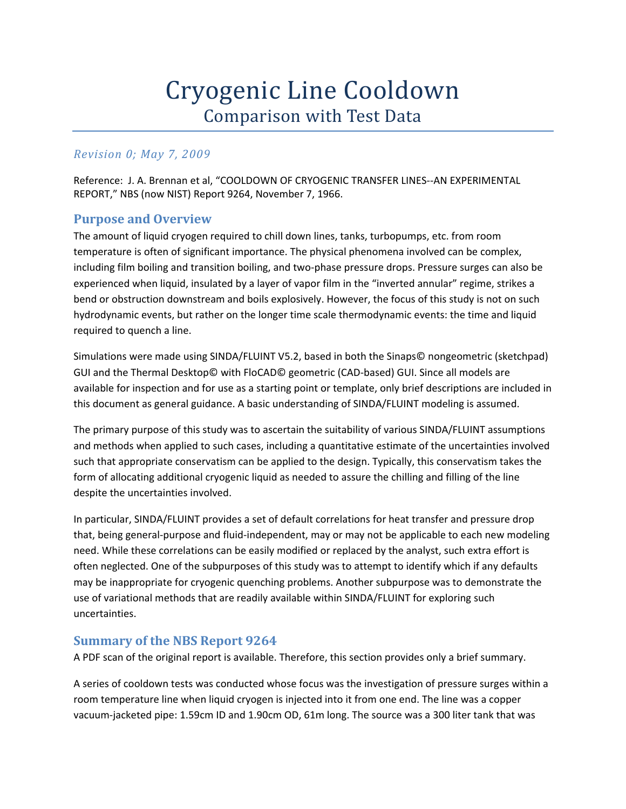# Cryogenic Line Cooldown Comparison with Test Data

## *Revision 0; May 7, 2009*

Reference: J. A. Brennan et al, "COOLDOWN OF CRYOGENIC TRANSFER LINES‐‐AN EXPERIMENTAL REPORT," NBS (now NIST) Report 9264, November 7, 1966.

## **Purpose and Overview**

The amount of liquid cryogen required to chill down lines, tanks, turbopumps, etc. from room temperature is often of significant importance. The physical phenomena involved can be complex, including film boiling and transition boiling, and two‐phase pressure drops. Pressure surges can also be experienced when liquid, insulated by a layer of vapor film in the "inverted annular" regime, strikes a bend or obstruction downstream and boils explosively. However, the focus of this study is not on such hydrodynamic events, but rather on the longer time scale thermodynamic events: the time and liquid required to quench a line.

Simulations were made using SINDA/FLUINT V5.2, based in both the Sinaps© nongeometric (sketchpad) GUI and the Thermal Desktop© with FloCAD© geometric (CAD‐based) GUI. Since all models are available for inspection and for use as a starting point or template, only brief descriptions are included in this document as general guidance. A basic understanding of SINDA/FLUINT modeling is assumed.

The primary purpose of this study was to ascertain the suitability of various SINDA/FLUINT assumptions and methods when applied to such cases, including a quantitative estimate of the uncertainties involved such that appropriate conservatism can be applied to the design. Typically, this conservatism takes the form of allocating additional cryogenic liquid as needed to assure the chilling and filling of the line despite the uncertainties involved.

In particular, SINDA/FLUINT provides a set of default correlations for heat transfer and pressure drop that, being general‐purpose and fluid‐independent, may or may not be applicable to each new modeling need. While these correlations can be easily modified or replaced by the analyst, such extra effort is often neglected. One of the subpurposes of this study was to attempt to identify which if any defaults may be inappropriate for cryogenic quenching problems. Another subpurpose was to demonstrate the use of variational methods that are readily available within SINDA/FLUINT for exploring such uncertainties.

### **Summary of the NBS Report 9264**

A PDF scan of the original report is available. Therefore, this section provides only a brief summary.

A series of cooldown tests was conducted whose focus was the investigation of pressure surges within a room temperature line when liquid cryogen is injected into it from one end. The line was a copper vacuum‐jacketed pipe: 1.59cm ID and 1.90cm OD, 61m long. The source was a 300 liter tank that was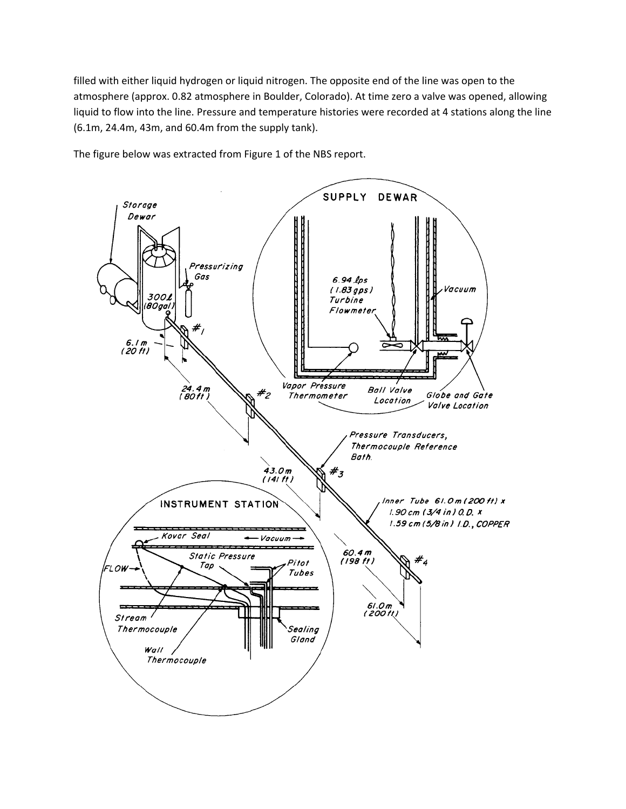filled with either liquid hydrogen or liquid nitrogen. The opposite end of the line was open to the atmosphere (approx. 0.82 atmosphere in Boulder, Colorado). At time zero a valve was opened, allowing liquid to flow into the line. Pressure and temperature histories were recorded at 4 stations along the line (6.1m, 24.4m, 43m, and 60.4m from the supply tank).



The figure below was extracted from Figure 1 of the NBS report.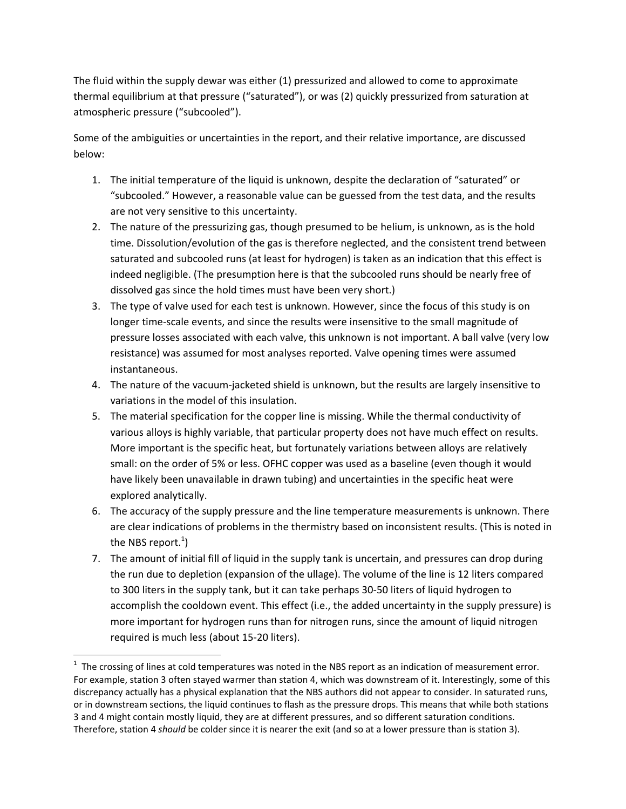The fluid within the supply dewar was either (1) pressurized and allowed to come to approximate thermal equilibrium at that pressure ("saturated"), or was (2) quickly pressurized from saturation at atmospheric pressure ("subcooled").

Some of the ambiguities or uncertainties in the report, and their relative importance, are discussed below:

- 1. The initial temperature of the liquid is unknown, despite the declaration of "saturated" or "subcooled." However, a reasonable value can be guessed from the test data, and the results are not very sensitive to this uncertainty.
- 2. The nature of the pressurizing gas, though presumed to be helium, is unknown, as is the hold time. Dissolution/evolution of the gas is therefore neglected, and the consistent trend between saturated and subcooled runs (at least for hydrogen) is taken as an indication that this effect is indeed negligible. (The presumption here is that the subcooled runs should be nearly free of dissolved gas since the hold times must have been very short.)
- 3. The type of valve used for each test is unknown. However, since the focus of this study is on longer time-scale events, and since the results were insensitive to the small magnitude of pressure losses associated with each valve, this unknown is not important. A ball valve (very low resistance) was assumed for most analyses reported. Valve opening times were assumed instantaneous.
- 4. The nature of the vacuum-jacketed shield is unknown, but the results are largely insensitive to variations in the model of this insulation.
- 5. The material specification for the copper line is missing. While the thermal conductivity of various alloys is highly variable, that particular property does not have much effect on results. More important is the specific heat, but fortunately variations between alloys are relatively small: on the order of 5% or less. OFHC copper was used as a baseline (even though it would have likely been unavailable in drawn tubing) and uncertainties in the specific heat were explored analytically.
- 6. The accuracy of the supply pressure and the line temperature measurements is unknown. There are clear indications of problems in the thermistry based on inconsistent results. (This is noted in the NBS report.<sup>1</sup>)
- 7. The amount of initial fill of liquid in the supply tank is uncertain, and pressures can drop during the run due to depletion (expansion of the ullage). The volume of the line is 12 liters compared to 300 liters in the supply tank, but it can take perhaps 30‐50 liters of liquid hydrogen to accomplish the cooldown event. This effect (i.e., the added uncertainty in the supply pressure) is more important for hydrogen runs than for nitrogen runs, since the amount of liquid nitrogen required is much less (about 15‐20 liters).

 $1$  The crossing of lines at cold temperatures was noted in the NBS report as an indication of measurement error. For example, station 3 often stayed warmer than station 4, which was downstream of it. Interestingly, some of this discrepancy actually has a physical explanation that the NBS authors did not appear to consider. In saturated runs, or in downstream sections, the liquid continues to flash as the pressure drops. This means that while both stations 3 and 4 might contain mostly liquid, they are at different pressures, and so different saturation conditions. Therefore, station 4 *should* be colder since it is nearer the exit (and so at a lower pressure than is station 3).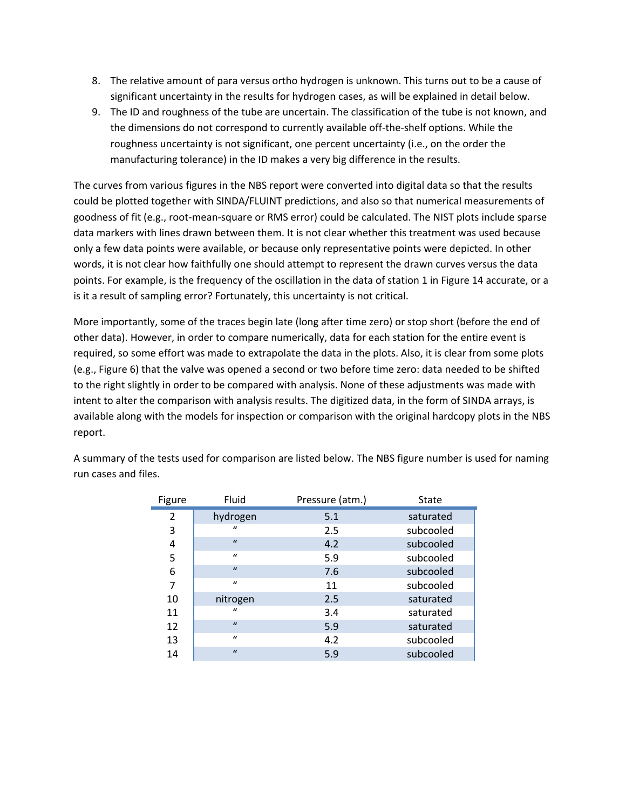- 8. The relative amount of para versus ortho hydrogen is unknown. This turns out to be a cause of significant uncertainty in the results for hydrogen cases, as will be explained in detail below.
- 9. The ID and roughness of the tube are uncertain. The classification of the tube is not known, and the dimensions do not correspond to currently available off‐the‐shelf options. While the roughness uncertainty is not significant, one percent uncertainty (i.e., on the order the manufacturing tolerance) in the ID makes a very big difference in the results.

The curves from various figures in the NBS report were converted into digital data so that the results could be plotted together with SINDA/FLUINT predictions, and also so that numerical measurements of goodness of fit (e.g., root-mean-square or RMS error) could be calculated. The NIST plots include sparse data markers with lines drawn between them. It is not clear whether this treatment was used because only a few data points were available, or because only representative points were depicted. In other words, it is not clear how faithfully one should attempt to represent the drawn curves versus the data points. For example, is the frequency of the oscillation in the data of station 1 in Figure 14 accurate, or a is it a result of sampling error? Fortunately, this uncertainty is not critical.

More importantly, some of the traces begin late (long after time zero) or stop short (before the end of other data). However, in order to compare numerically, data for each station for the entire event is required, so some effort was made to extrapolate the data in the plots. Also, it is clear from some plots (e.g., Figure 6) that the valve was opened a second or two before time zero: data needed to be shifted to the right slightly in order to be compared with analysis. None of these adjustments was made with intent to alter the comparison with analysis results. The digitized data, in the form of SINDA arrays, is available along with the models for inspection or comparison with the original hardcopy plots in the NBS report.

| Figure         | Fluid        | Pressure (atm.) | State     |
|----------------|--------------|-----------------|-----------|
| $\overline{2}$ | hydrogen     | 5.1             | saturated |
| 3              | $\mathbf{u}$ | 2.5             | subcooled |
| 4              | $\mathbf{u}$ | 4.2             | subcooled |
| 5              | $\mathbf{u}$ | 5.9             | subcooled |
| 6              | $\mathbf{u}$ | 7.6             | subcooled |
| 7              | $\mathbf{u}$ | 11              | subcooled |
| 10             | nitrogen     | 2.5             | saturated |
| 11             | $\mathbf{u}$ | 3.4             | saturated |
| 12             | $\mathbf{u}$ | 5.9             | saturated |
| 13             | $\mathbf{u}$ | 4.2             | subcooled |
| 14             | $\mathbf{u}$ | 5.9             | subcooled |

A summary of the tests used for comparison are listed below. The NBS figure number is used for naming run cases and files.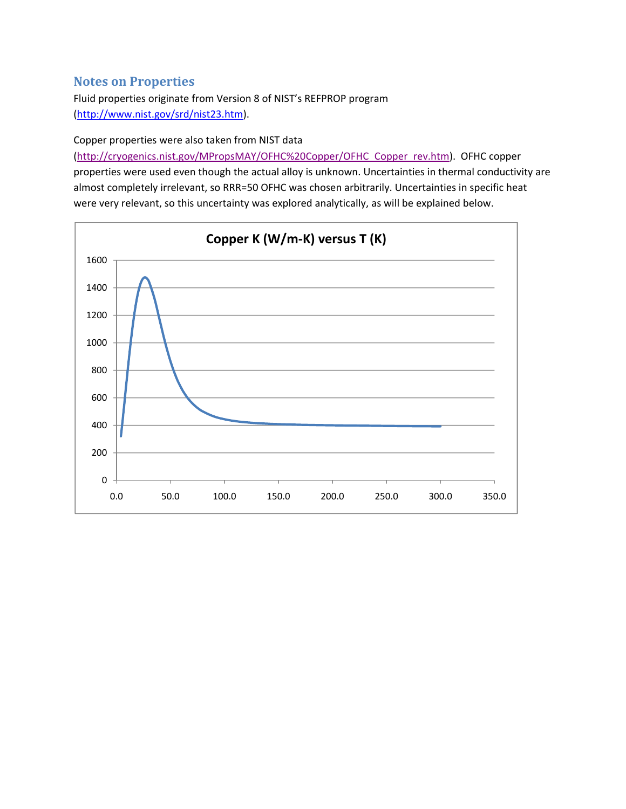## **Notes on Properties**

Fluid properties originate from Version 8 of NIST's REFPROP program (http://www.nist.gov/srd/nist23.htm).

#### Copper properties were also taken from NIST data

(http://cryogenics.nist.gov/MPropsMAY/OFHC%20Copper/OFHC\_Copper\_rev.htm). OFHC copper properties were used even though the actual alloy is unknown. Uncertainties in thermal conductivity are almost completely irrelevant, so RRR=50 OFHC was chosen arbitrarily. Uncertainties in specific heat were very relevant, so this uncertainty was explored analytically, as will be explained below.

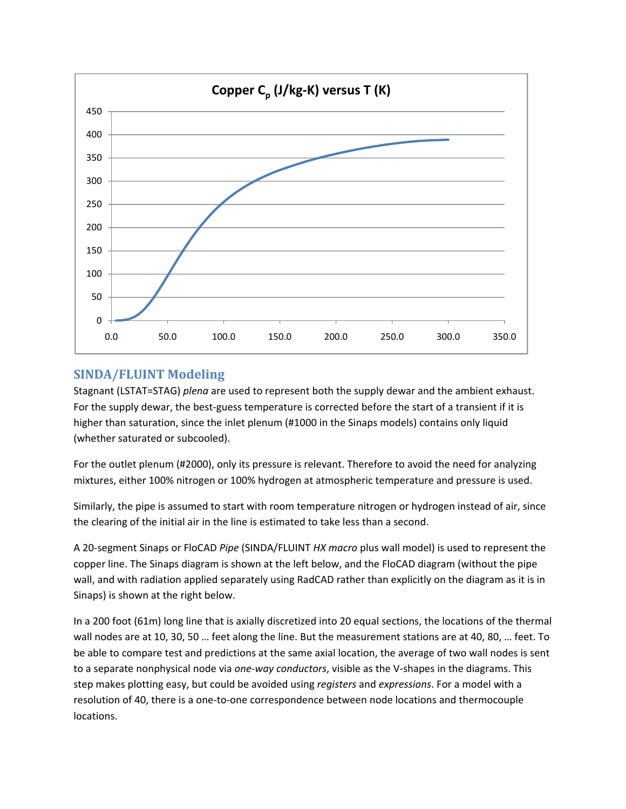

## **SINDA/FLUINT Modeling**

Stagnant (LSTAT=STAG) *plena* are used to represent both the supply dewar and the ambient exhaust. For the supply dewar, the best-guess temperature is corrected before the start of a transient if it is higher than saturation, since the inlet plenum (#1000 in the Sinaps models) contains only liquid (whether saturated or subcooled).

For the outlet plenum (#2000), only its pressure is relevant. Therefore to avoid the need for analyzing mixtures, either 100% nitrogen or 100% hydrogen at atmospheric temperature and pressure is used.

Similarly, the pipe is assumed to start with room temperature nitrogen or hydrogen instead of air, since the clearing of the initial air in the line is estimated to take less than a second.

A 20‐segment Sinaps or FloCAD *Pipe* (SINDA/FLUINT *HX macro* plus wall model) is used to represent the copper line. The Sinaps diagram is shown at the left below, and the FloCAD diagram (without the pipe wall, and with radiation applied separately using RadCAD rather than explicitly on the diagram as it is in Sinaps) is shown at the right below.

In a 200 foot (61m) long line that is axially discretized into 20 equal sections, the locations of the thermal wall nodes are at 10, 30, 50 … feet along the line. But the measurement stations are at 40, 80, … feet. To be able to compare test and predictions at the same axial location, the average of two wall nodes is sent to a separate nonphysical node via *one‐way conductors*, visible as the V‐shapes in the diagrams. This step makes plotting easy, but could be avoided using *registers* and *expressions*. For a model with a resolution of 40, there is a one‐to‐one correspondence between node locations and thermocouple locations.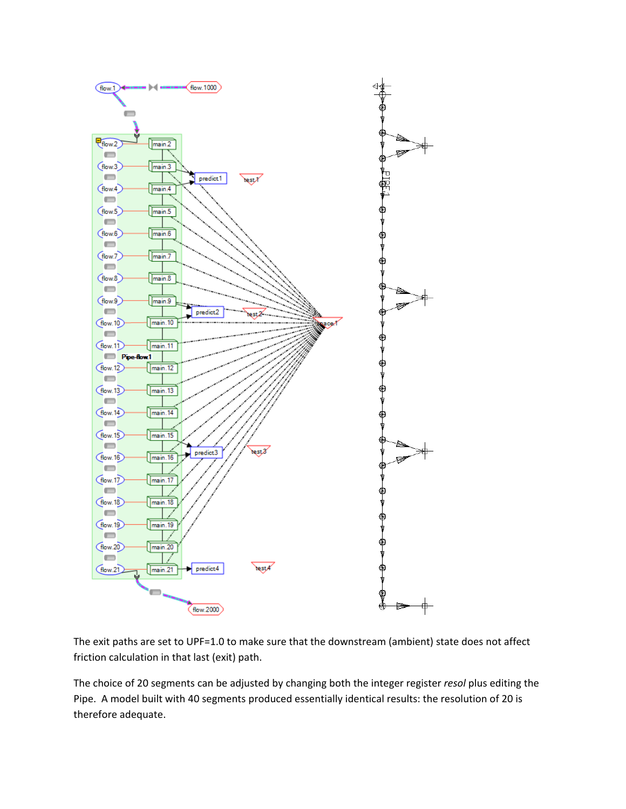

The exit paths are set to UPF=1.0 to make sure that the downstream (ambient) state does not affect friction calculation in that last (exit) path.

The choice of 20 segments can be adjusted by changing both the integer register *resol* plus editing the Pipe. A model built with 40 segments produced essentially identical results: the resolution of 20 is therefore adequate.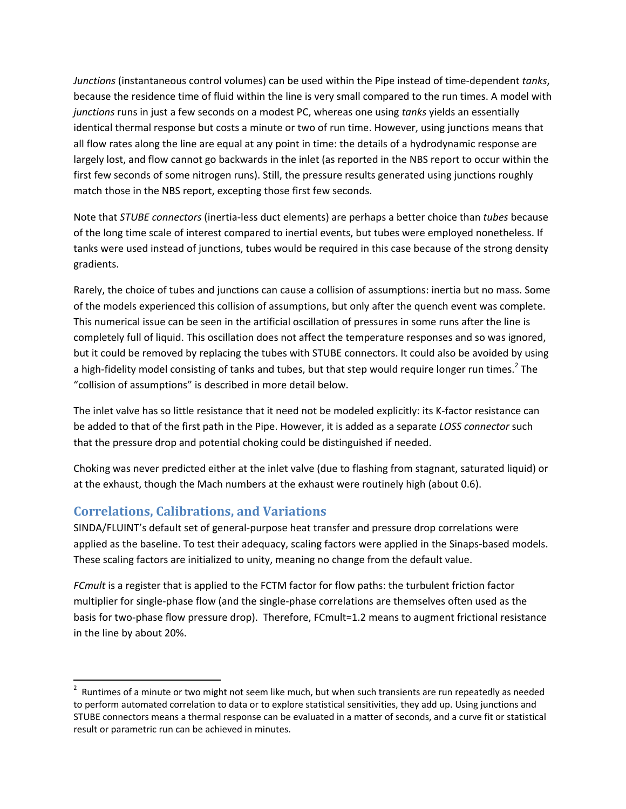*Junctions* (instantaneous control volumes) can be used within the Pipe instead of time‐dependent *tanks*, because the residence time of fluid within the line is very small compared to the run times. A model with *junctions* runs in just a few seconds on a modest PC, whereas one using *tanks* yields an essentially identical thermal response but costs a minute or two of run time. However, using junctions means that all flow rates along the line are equal at any point in time: the details of a hydrodynamic response are largely lost, and flow cannot go backwards in the inlet (as reported in the NBS report to occur within the first few seconds of some nitrogen runs). Still, the pressure results generated using junctions roughly match those in the NBS report, excepting those first few seconds.

Note that *STUBE connectors* (inertia‐less duct elements) are perhaps a better choice than *tubes* because of the long time scale of interest compared to inertial events, but tubes were employed nonetheless. If tanks were used instead of junctions, tubes would be required in this case because of the strong density gradients.

Rarely, the choice of tubes and junctions can cause a collision of assumptions: inertia but no mass. Some of the models experienced this collision of assumptions, but only after the quench event was complete. This numerical issue can be seen in the artificial oscillation of pressures in some runs after the line is completely full of liquid. This oscillation does not affect the temperature responses and so was ignored, but it could be removed by replacing the tubes with STUBE connectors. It could also be avoided by using a high-fidelity model consisting of tanks and tubes, but that step would require longer run times.<sup>2</sup> The "collision of assumptions" is described in more detail below.

The inlet valve has so little resistance that it need not be modeled explicitly: its K‐factor resistance can be added to that of the first path in the Pipe. However, it is added as a separate *LOSS connector* such that the pressure drop and potential choking could be distinguished if needed.

Choking was never predicted either at the inlet valve (due to flashing from stagnant, saturated liquid) or at the exhaust, though the Mach numbers at the exhaust were routinely high (about 0.6).

## **Correlations, Calibrations, and Variations**

SINDA/FLUINT's default set of general‐purpose heat transfer and pressure drop correlations were applied as the baseline. To test their adequacy, scaling factors were applied in the Sinaps-based models. These scaling factors are initialized to unity, meaning no change from the default value.

*FCmult* is a register that is applied to the FCTM factor for flow paths: the turbulent friction factor multiplier for single‐phase flow (and the single‐phase correlations are themselves often used as the basis for two-phase flow pressure drop). Therefore, FCmult=1.2 means to augment frictional resistance in the line by about 20%.

 $2$  Runtimes of a minute or two might not seem like much, but when such transients are run repeatedly as needed to perform automated correlation to data or to explore statistical sensitivities, they add up. Using junctions and STUBE connectors means a thermal response can be evaluated in a matter of seconds, and a curve fit or statistical result or parametric run can be achieved in minutes.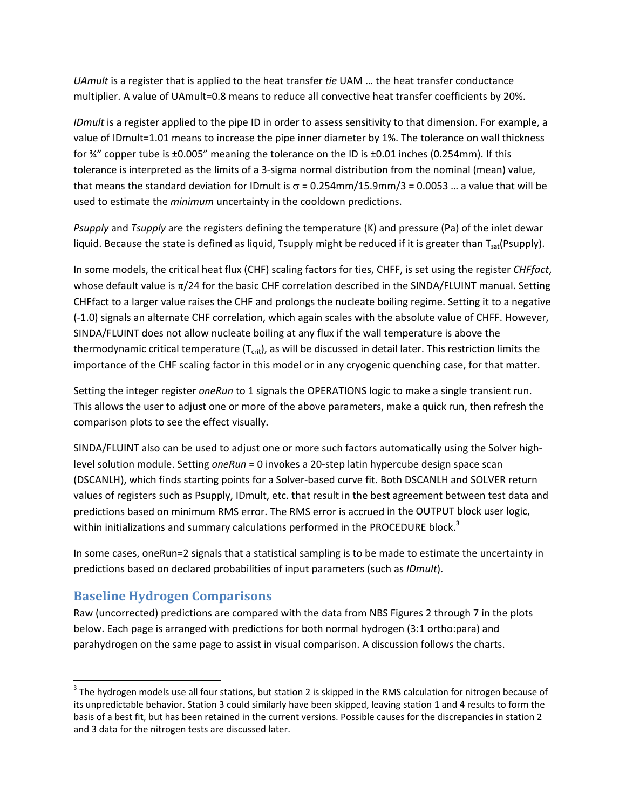*UAmult* is a register that is applied to the heat transfer *tie* UAM … the heat transfer conductance multiplier. A value of UAmult=0.8 means to reduce all convective heat transfer coefficients by 20%.

*IDmult* is a register applied to the pipe ID in order to assess sensitivity to that dimension. For example, a value of IDmult=1.01 means to increase the pipe inner diameter by 1%. The tolerance on wall thickness for ¾" copper tube is ±0.005" meaning the tolerance on the ID is ±0.01 inches (0.254mm). If this tolerance is interpreted as the limits of a 3‐sigma normal distribution from the nominal (mean) value, that means the standard deviation for IDmult is  $\sigma$  = 0.254mm/15.9mm/3 = 0.0053 ... a value that will be used to estimate the *minimum* uncertainty in the cooldown predictions.

*Psupply* and *Tsupply* are the registers defining the temperature (K) and pressure (Pa) of the inlet dewar liquid. Because the state is defined as liquid, Tsupply might be reduced if it is greater than  $T_{sat}(P\text{supply})$ .

In some models, the critical heat flux (CHF) scaling factors for ties, CHFF, is set using the register *CHFfact*, whose default value is  $\pi/24$  for the basic CHF correlation described in the SINDA/FLUINT manual. Setting CHFfact to a larger value raises the CHF and prolongs the nucleate boiling regime. Setting it to a negative (‐1.0) signals an alternate CHF correlation, which again scales with the absolute value of CHFF. However, SINDA/FLUINT does not allow nucleate boiling at any flux if the wall temperature is above the thermodynamic critical temperature  $(T_{\rm crit})$ , as will be discussed in detail later. This restriction limits the importance of the CHF scaling factor in this model or in any cryogenic quenching case, for that matter.

Setting the integer register *oneRun* to 1 signals the OPERATIONS logic to make a single transient run. This allows the user to adjust one or more of the above parameters, make a quick run, then refresh the comparison plots to see the effect visually.

SINDA/FLUINT also can be used to adjust one or more such factors automatically using the Solver high‐ level solution module. Setting *oneRun* = 0 invokes a 20‐step latin hypercube design space scan (DSCANLH), which finds starting points for a Solver‐based curve fit. Both DSCANLH and SOLVER return values of registers such as Psupply, IDmult, etc. that result in the best agreement between test data and predictions based on minimum RMS error. The RMS error is accrued in the OUTPUT block user logic, within initializations and summary calculations performed in the PROCEDURE block.<sup>3</sup>

In some cases, oneRun=2 signals that a statistical sampling is to be made to estimate the uncertainty in predictions based on declared probabilities of input parameters (such as *IDmult*).

## **Baseline Hydrogen Comparisons**

Raw (uncorrected) predictions are compared with the data from NBS Figures 2 through 7 in the plots below. Each page is arranged with predictions for both normal hydrogen (3:1 ortho:para) and parahydrogen on the same page to assist in visual comparison. A discussion follows the charts.

 $3$  The hydrogen models use all four stations, but station 2 is skipped in the RMS calculation for nitrogen because of its unpredictable behavior. Station 3 could similarly have been skipped, leaving station 1 and 4 results to form the basis of a best fit, but has been retained in the current versions. Possible causes for the discrepancies in station 2 and 3 data for the nitrogen tests are discussed later.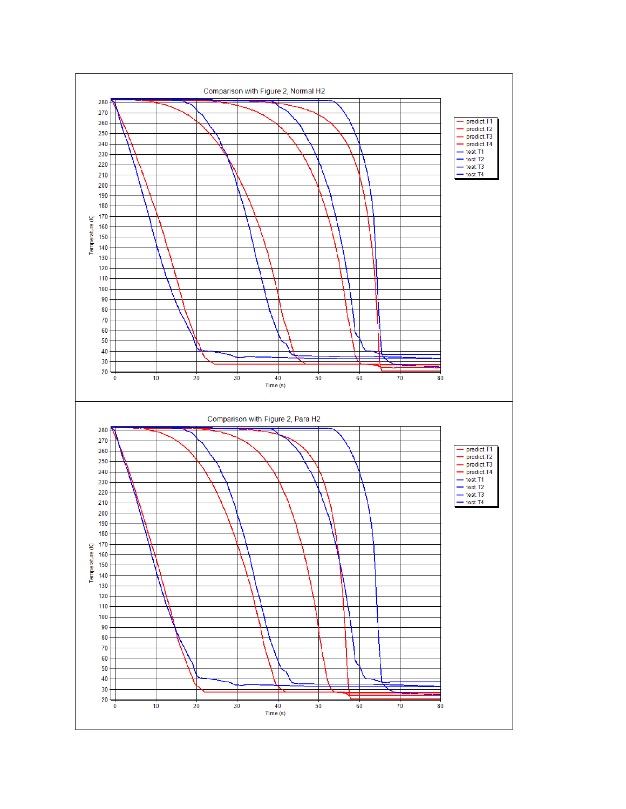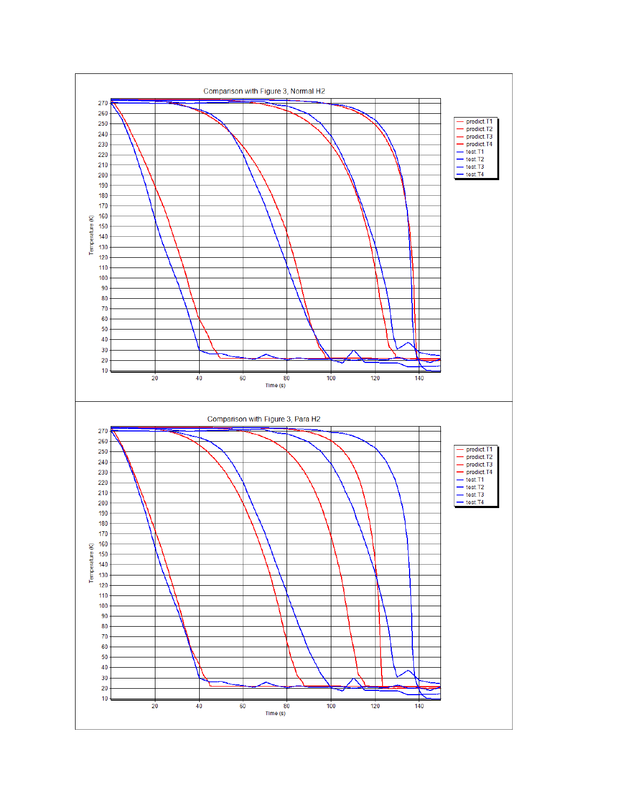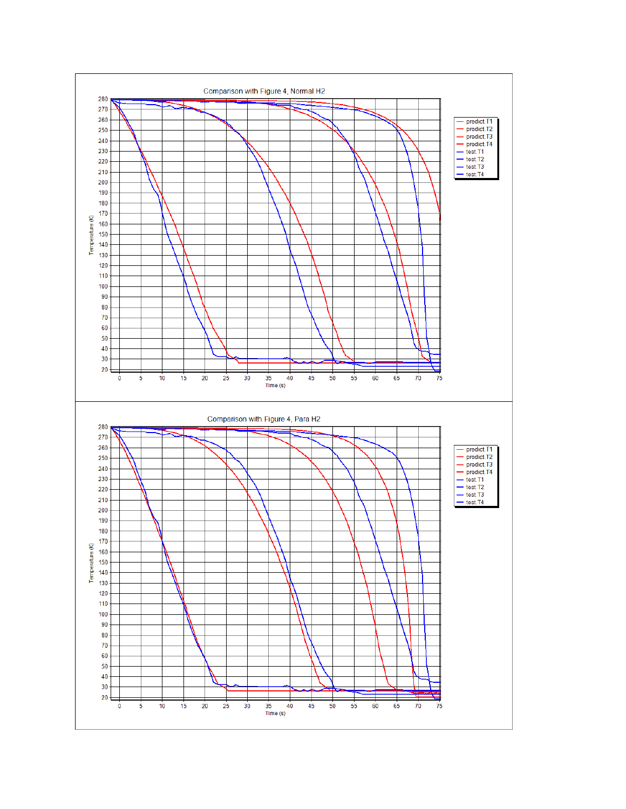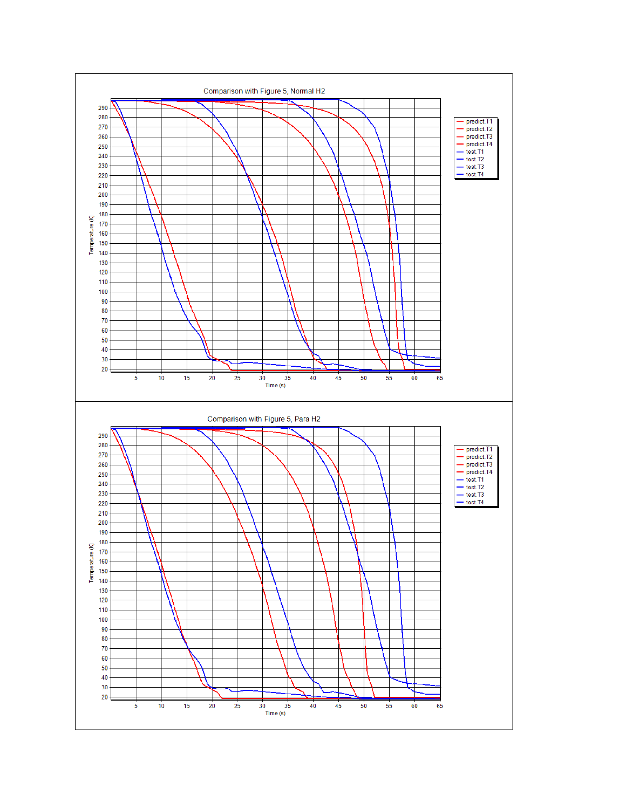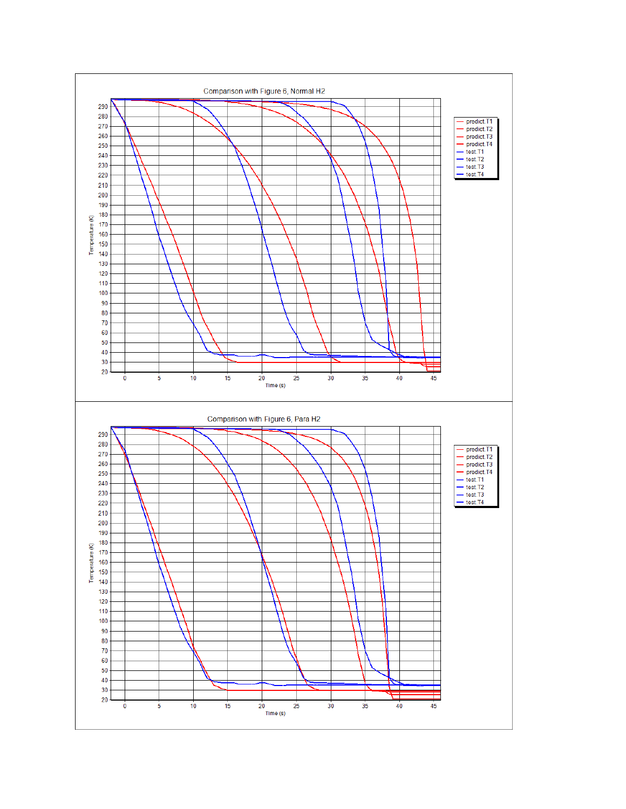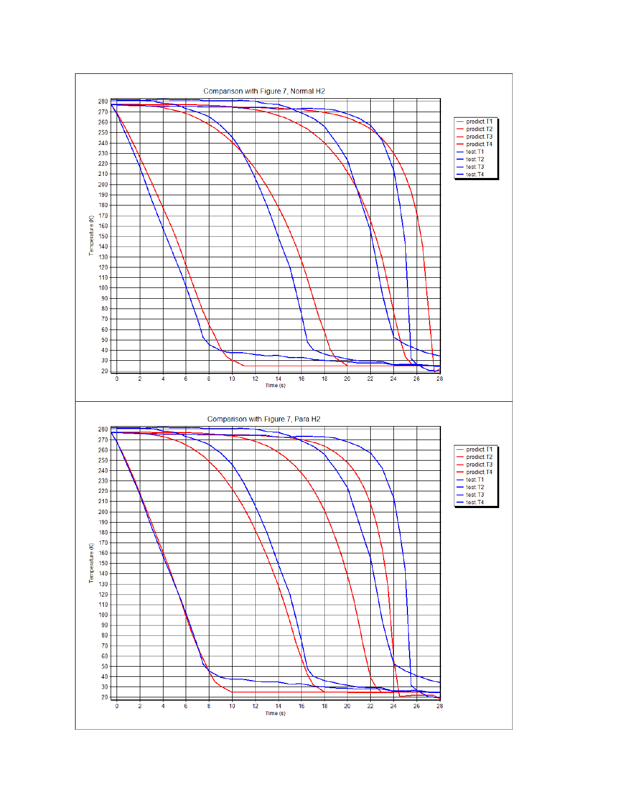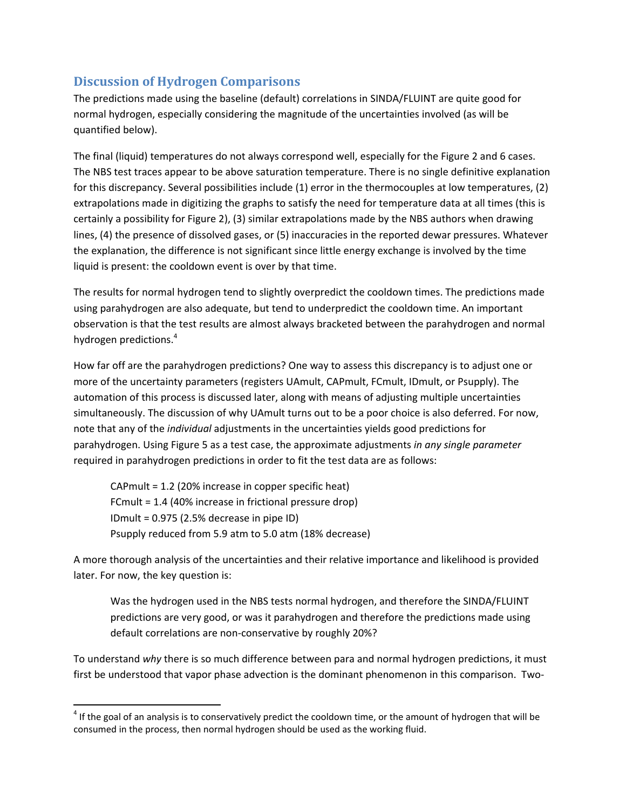# **Discussion of Hydrogen Comparisons**

The predictions made using the baseline (default) correlations in SINDA/FLUINT are quite good for normal hydrogen, especially considering the magnitude of the uncertainties involved (as will be quantified below).

The final (liquid) temperatures do not always correspond well, especially for the Figure 2 and 6 cases. The NBS test traces appear to be above saturation temperature. There is no single definitive explanation for this discrepancy. Several possibilities include (1) error in the thermocouples at low temperatures, (2) extrapolations made in digitizing the graphs to satisfy the need for temperature data at all times (this is certainly a possibility for Figure 2), (3) similar extrapolations made by the NBS authors when drawing lines, (4) the presence of dissolved gases, or (5) inaccuracies in the reported dewar pressures. Whatever the explanation, the difference is not significant since little energy exchange is involved by the time liquid is present: the cooldown event is over by that time.

The results for normal hydrogen tend to slightly overpredict the cooldown times. The predictions made using parahydrogen are also adequate, but tend to underpredict the cooldown time. An important observation is that the test results are almost always bracketed between the parahydrogen and normal hydrogen predictions.<sup>4</sup>

How far off are the parahydrogen predictions? One way to assess this discrepancy is to adjust one or more of the uncertainty parameters (registers UAmult, CAPmult, FCmult, IDmult, or Psupply). The automation of this process is discussed later, along with means of adjusting multiple uncertainties simultaneously. The discussion of why UAmult turns out to be a poor choice is also deferred. For now, note that any of the *individual* adjustments in the uncertainties yields good predictions for parahydrogen. Using Figure 5 as a test case, the approximate adjustments *in any single parameter* required in parahydrogen predictions in order to fit the test data are as follows:

CAPmult = 1.2 (20% increase in copper specific heat) FCmult = 1.4 (40% increase in frictional pressure drop) IDmult = 0.975 (2.5% decrease in pipe ID) Psupply reduced from 5.9 atm to 5.0 atm (18% decrease)

A more thorough analysis of the uncertainties and their relative importance and likelihood is provided later. For now, the key question is:

Was the hydrogen used in the NBS tests normal hydrogen, and therefore the SINDA/FLUINT predictions are very good, or was it parahydrogen and therefore the predictions made using default correlations are non‐conservative by roughly 20%?

To understand *why* there is so much difference between para and normal hydrogen predictions, it must first be understood that vapor phase advection is the dominant phenomenon in this comparison. Two-

 $4$  If the goal of an analysis is to conservatively predict the cooldown time, or the amount of hydrogen that will be consumed in the process, then normal hydrogen should be used as the working fluid.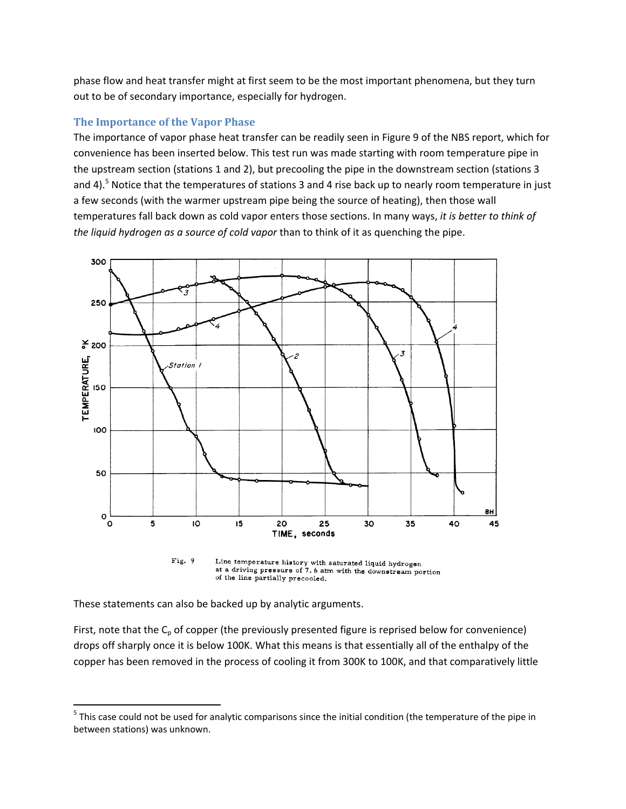phase flow and heat transfer might at first seem to be the most important phenomena, but they turn out to be of secondary importance, especially for hydrogen.

#### **The Importance of the Vapor Phase**

The importance of vapor phase heat transfer can be readily seen in Figure 9 of the NBS report, which for convenience has been inserted below. This test run was made starting with room temperature pipe in the upstream section (stations 1 and 2), but precooling the pipe in the downstream section (stations 3 and 4).<sup>5</sup> Notice that the temperatures of stations 3 and 4 rise back up to nearly room temperature in just a few seconds (with the warmer upstream pipe being the source of heating), then those wall temperatures fall back down as cold vapor enters those sections. In many ways, *it is better to think of the liquid hydrogen as a source of cold vapor* than to think of it as quenching the pipe.



Fig. 9 Line temperature history with saturated liquid hydrogen at a driving pressure of 7.6 atm with the downstream portion of the line partially precooled.

These statements can also be backed up by analytic arguments.

First, note that the  $C_p$  of copper (the previously presented figure is reprised below for convenience) drops off sharply once it is below 100K. What this means is that essentially all of the enthalpy of the copper has been removed in the process of cooling it from 300K to 100K, and that comparatively little

  $5$  This case could not be used for analytic comparisons since the initial condition (the temperature of the pipe in between stations) was unknown.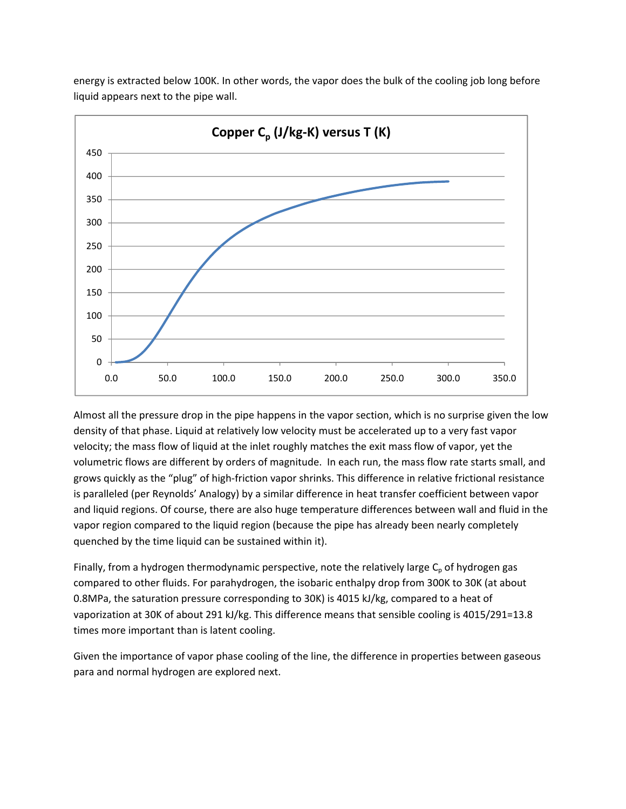

energy is extracted below 100K. In other words, the vapor does the bulk of the cooling job long before liquid appears next to the pipe wall.

Almost all the pressure drop in the pipe happens in the vapor section, which is no surprise given the low density of that phase. Liquid at relatively low velocity must be accelerated up to a very fast vapor velocity; the mass flow of liquid at the inlet roughly matches the exit mass flow of vapor, yet the volumetric flows are different by orders of magnitude. In each run, the mass flow rate starts small, and grows quickly as the "plug" of high‐friction vapor shrinks. This difference in relative frictional resistance is paralleled (per Reynolds' Analogy) by a similar difference in heat transfer coefficient between vapor and liquid regions. Of course, there are also huge temperature differences between wall and fluid in the vapor region compared to the liquid region (because the pipe has already been nearly completely quenched by the time liquid can be sustained within it).

Finally, from a hydrogen thermodynamic perspective, note the relatively large  $C_p$  of hydrogen gas compared to other fluids. For parahydrogen, the isobaric enthalpy drop from 300K to 30K (at about 0.8MPa, the saturation pressure corresponding to 30K) is 4015 kJ/kg, compared to a heat of vaporization at 30K of about 291 kJ/kg. This difference means that sensible cooling is 4015/291=13.8 times more important than is latent cooling.

Given the importance of vapor phase cooling of the line, the difference in properties between gaseous para and normal hydrogen are explored next.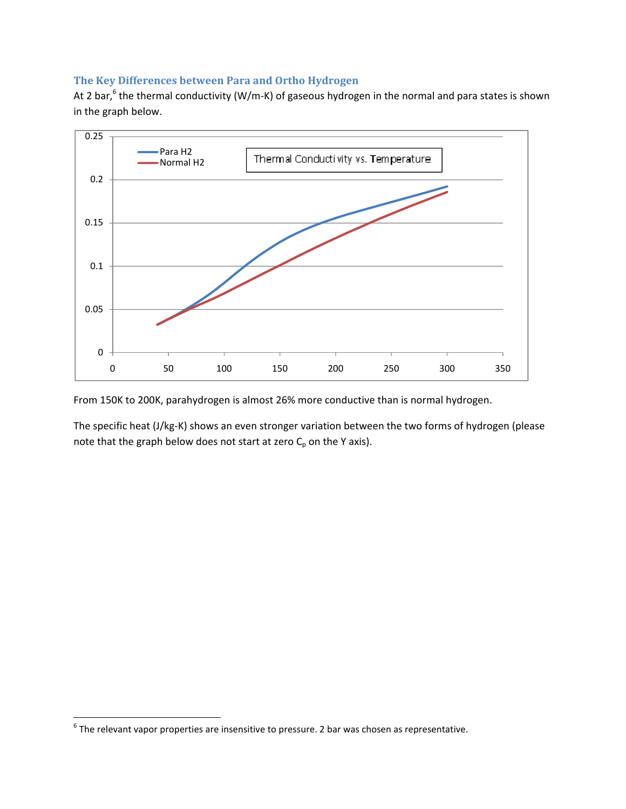## **The Key Differences between Para and Ortho Hydrogen**

At 2 bar,<sup>6</sup> the thermal conductivity (W/m-K) of gaseous hydrogen in the normal and para states is shown in the graph below.



From 150K to 200K, parahydrogen is almost 26% more conductive than is normal hydrogen.

The specific heat (J/kg‐K) shows an even stronger variation between the two forms of hydrogen (please note that the graph below does not start at zero  $C_p$  on the Y axis).

 $^6$  The relevant vapor properties are insensitive to pressure. 2 bar was chosen as representative.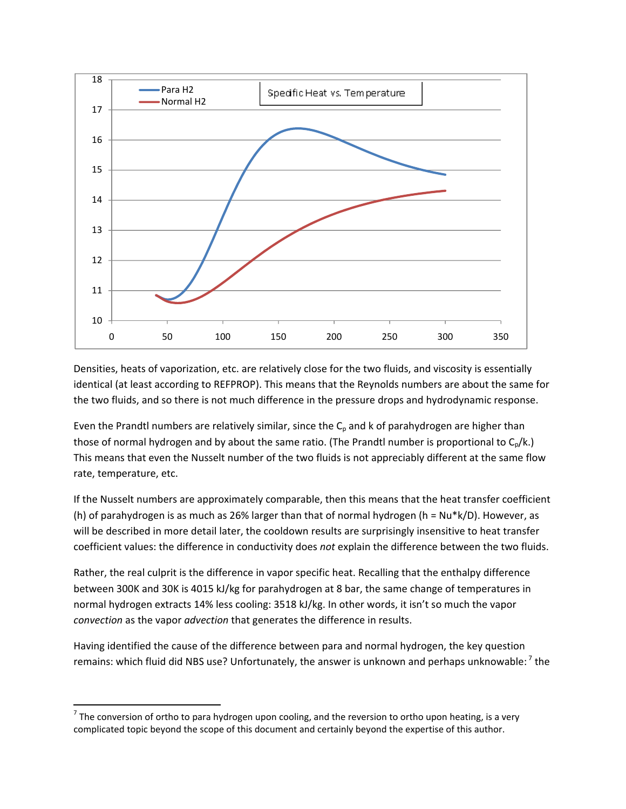

Densities, heats of vaporization, etc. are relatively close for the two fluids, and viscosity is essentially identical (at least according to REFPROP). This means that the Reynolds numbers are about the same for the two fluids, and so there is not much difference in the pressure drops and hydrodynamic response.

Even the Prandtl numbers are relatively similar, since the  $C_p$  and k of parahydrogen are higher than those of normal hydrogen and by about the same ratio. (The Prandtl number is proportional to  $C_p/k$ .) This means that even the Nusselt number of the two fluids is not appreciably different at the same flow rate, temperature, etc.

If the Nusselt numbers are approximately comparable, then this means that the heat transfer coefficient (h) of parahydrogen is as much as 26% larger than that of normal hydrogen (h =  $Nu*k/D$ ). However, as will be described in more detail later, the cooldown results are surprisingly insensitive to heat transfer coefficient values: the difference in conductivity does *not* explain the difference between the two fluids.

Rather, the real culprit is the difference in vapor specific heat. Recalling that the enthalpy difference between 300K and 30K is 4015 kJ/kg for parahydrogen at 8 bar, the same change of temperatures in normal hydrogen extracts 14% less cooling: 3518 kJ/kg. In other words, it isn't so much the vapor *convection* as the vapor *advection* that generates the difference in results.

Having identified the cause of the difference between para and normal hydrogen, the key question remains: which fluid did NBS use? Unfortunately, the answer is unknown and perhaps unknowable:  $'$  the

 $7$  The conversion of ortho to para hydrogen upon cooling, and the reversion to ortho upon heating, is a very complicated topic beyond the scope of this document and certainly beyond the expertise of this author.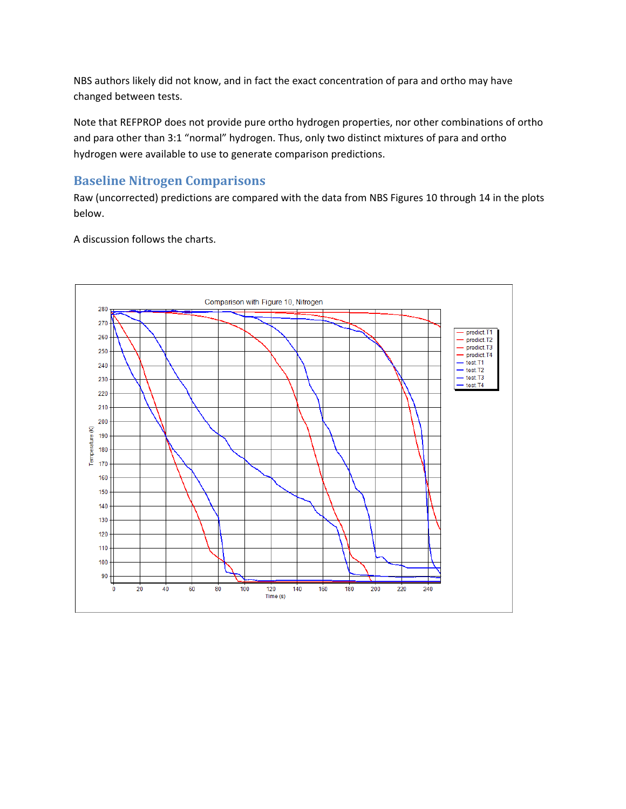NBS authors likely did not know, and in fact the exact concentration of para and ortho may have changed between tests.

Note that REFPROP does not provide pure ortho hydrogen properties, nor other combinations of ortho and para other than 3:1 "normal" hydrogen. Thus, only two distinct mixtures of para and ortho hydrogen were available to use to generate comparison predictions.

## **Baseline Nitrogen Comparisons**

Raw (uncorrected) predictions are compared with the data from NBS Figures 10 through 14 in the plots below.

A discussion follows the charts.

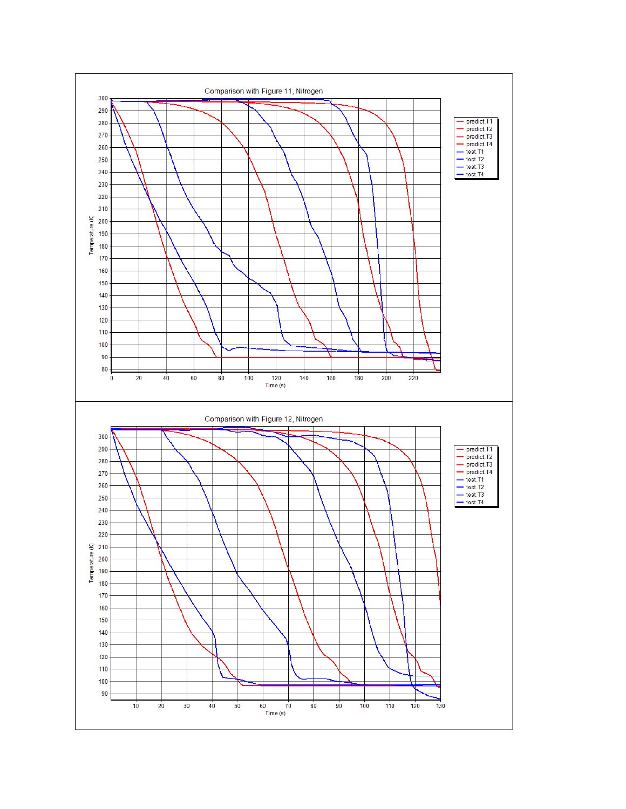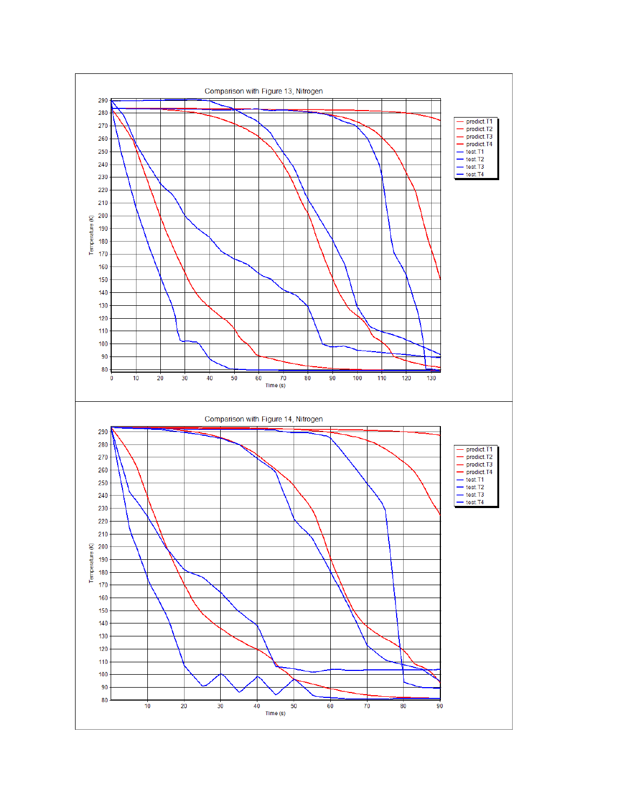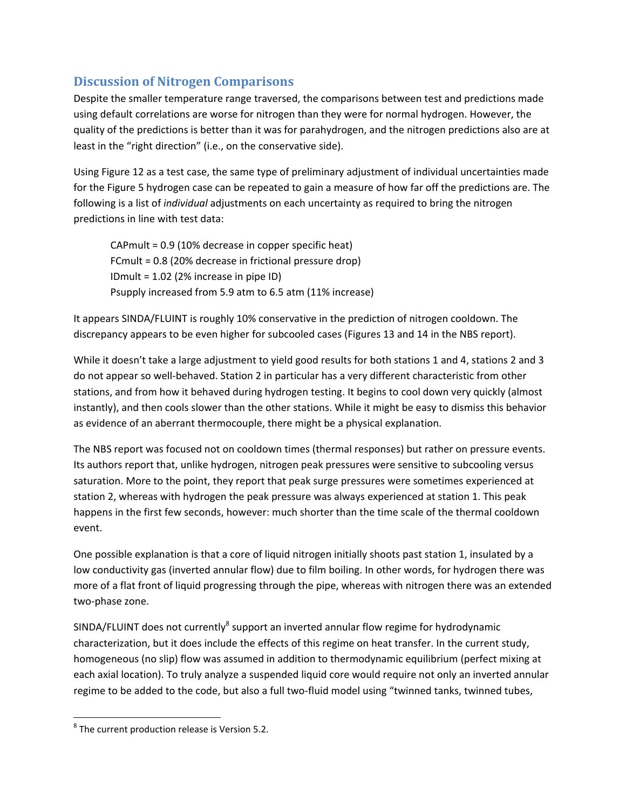# **Discussion of Nitrogen Comparisons**

Despite the smaller temperature range traversed, the comparisons between test and predictions made using default correlations are worse for nitrogen than they were for normal hydrogen. However, the quality of the predictions is better than it was for parahydrogen, and the nitrogen predictions also are at least in the "right direction" (i.e., on the conservative side).

Using Figure 12 as a test case, the same type of preliminary adjustment of individual uncertainties made for the Figure 5 hydrogen case can be repeated to gain a measure of how far off the predictions are. The following is a list of *individual* adjustments on each uncertainty as required to bring the nitrogen predictions in line with test data:

CAPmult = 0.9 (10% decrease in copper specific heat) FCmult = 0.8 (20% decrease in frictional pressure drop) IDmult = 1.02 (2% increase in pipe ID) Psupply increased from 5.9 atm to 6.5 atm (11% increase)

It appears SINDA/FLUINT is roughly 10% conservative in the prediction of nitrogen cooldown. The discrepancy appears to be even higher for subcooled cases (Figures 13 and 14 in the NBS report).

While it doesn't take a large adjustment to yield good results for both stations 1 and 4, stations 2 and 3 do not appear so well‐behaved. Station 2 in particular has a very different characteristic from other stations, and from how it behaved during hydrogen testing. It begins to cool down very quickly (almost instantly), and then cools slower than the other stations. While it might be easy to dismiss this behavior as evidence of an aberrant thermocouple, there might be a physical explanation.

The NBS report was focused not on cooldown times (thermal responses) but rather on pressure events. Its authors report that, unlike hydrogen, nitrogen peak pressures were sensitive to subcooling versus saturation. More to the point, they report that peak surge pressures were sometimes experienced at station 2, whereas with hydrogen the peak pressure was always experienced at station 1. This peak happens in the first few seconds, however: much shorter than the time scale of the thermal cooldown event.

One possible explanation is that a core of liquid nitrogen initially shoots past station 1, insulated by a low conductivity gas (inverted annular flow) due to film boiling. In other words, for hydrogen there was more of a flat front of liquid progressing through the pipe, whereas with nitrogen there was an extended two‐phase zone.

SINDA/FLUINT does not currently $^8$  support an inverted annular flow regime for hydrodynamic characterization, but it does include the effects of this regime on heat transfer. In the current study, homogeneous (no slip) flow was assumed in addition to thermodynamic equilibrium (perfect mixing at each axial location). To truly analyze a suspended liquid core would require not only an inverted annular regime to be added to the code, but also a full two-fluid model using "twinned tanks, twinned tubes,

 $8$  The current production release is Version 5.2.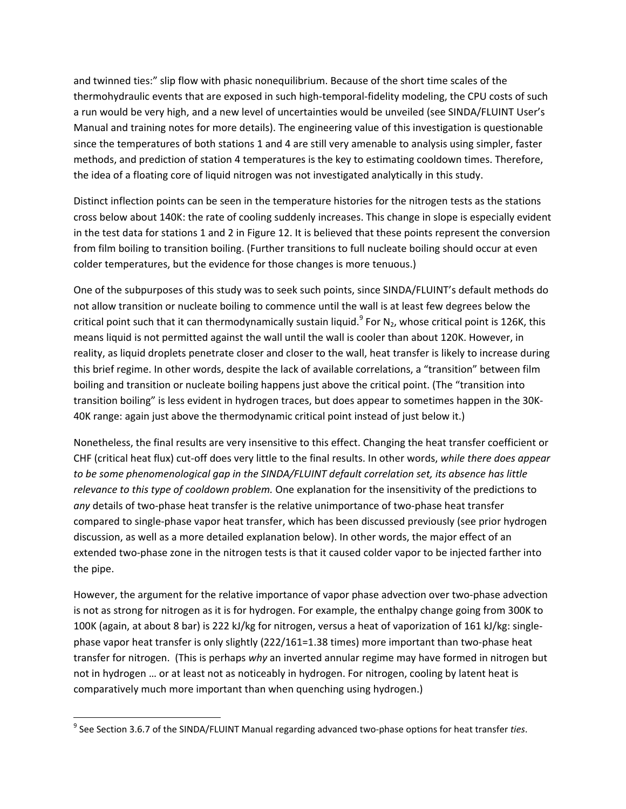and twinned ties:" slip flow with phasic nonequilibrium. Because of the short time scales of the thermohydraulic events that are exposed in such high‐temporal‐fidelity modeling, the CPU costs of such a run would be very high, and a new level of uncertainties would be unveiled (see SINDA/FLUINT User's Manual and training notes for more details). The engineering value of this investigation is questionable since the temperatures of both stations 1 and 4 are still very amenable to analysis using simpler, faster methods, and prediction of station 4 temperatures is the key to estimating cooldown times. Therefore, the idea of a floating core of liquid nitrogen was not investigated analytically in this study.

Distinct inflection points can be seen in the temperature histories for the nitrogen tests as the stations cross below about 140K: the rate of cooling suddenly increases. This change in slope is especially evident in the test data for stations 1 and 2 in Figure 12. It is believed that these points represent the conversion from film boiling to transition boiling. (Further transitions to full nucleate boiling should occur at even colder temperatures, but the evidence for those changes is more tenuous.)

One of the subpurposes of this study was to seek such points, since SINDA/FLUINT's default methods do not allow transition or nucleate boiling to commence until the wall is at least few degrees below the critical point such that it can thermodynamically sustain liquid.<sup>9</sup> For N<sub>2</sub>, whose critical point is 126K, this means liquid is not permitted against the wall until the wall is cooler than about 120K. However, in reality, as liquid droplets penetrate closer and closer to the wall, heat transfer is likely to increase during this brief regime. In other words, despite the lack of available correlations, a "transition" between film boiling and transition or nucleate boiling happens just above the critical point. (The "transition into transition boiling" is less evident in hydrogen traces, but does appear to sometimes happen in the 30K‐ 40K range: again just above the thermodynamic critical point instead of just below it.)

Nonetheless, the final results are very insensitive to this effect. Changing the heat transfer coefficient or CHF (critical heat flux) cut‐off does very little to the final results. In other words, *while there does appear to be some phenomenological gap in the SINDA/FLUINT default correlation set, its absence has little relevance to this type of cooldown problem.* One explanation for the insensitivity of the predictions to any details of two-phase heat transfer is the relative unimportance of two-phase heat transfer compared to single‐phase vapor heat transfer, which has been discussed previously (see prior hydrogen discussion, as well as a more detailed explanation below). In other words, the major effect of an extended two-phase zone in the nitrogen tests is that it caused colder vapor to be injected farther into the pipe.

However, the argument for the relative importance of vapor phase advection over two‐phase advection is not as strong for nitrogen as it is for hydrogen. For example, the enthalpy change going from 300K to 100K (again, at about 8 bar) is 222 kJ/kg for nitrogen, versus a heat of vaporization of 161 kJ/kg: single‐ phase vapor heat transfer is only slightly (222/161=1.38 times) more important than two‐phase heat transfer for nitrogen. (This is perhaps *why* an inverted annular regime may have formed in nitrogen but not in hydrogen … or at least not as noticeably in hydrogen. For nitrogen, cooling by latent heat is comparatively much more important than when quenching using hydrogen.)

<sup>9</sup> See Section 3.6.7 of the SINDA/FLUINT Manual regarding advanced two‐phase options for heat transfer *ties*.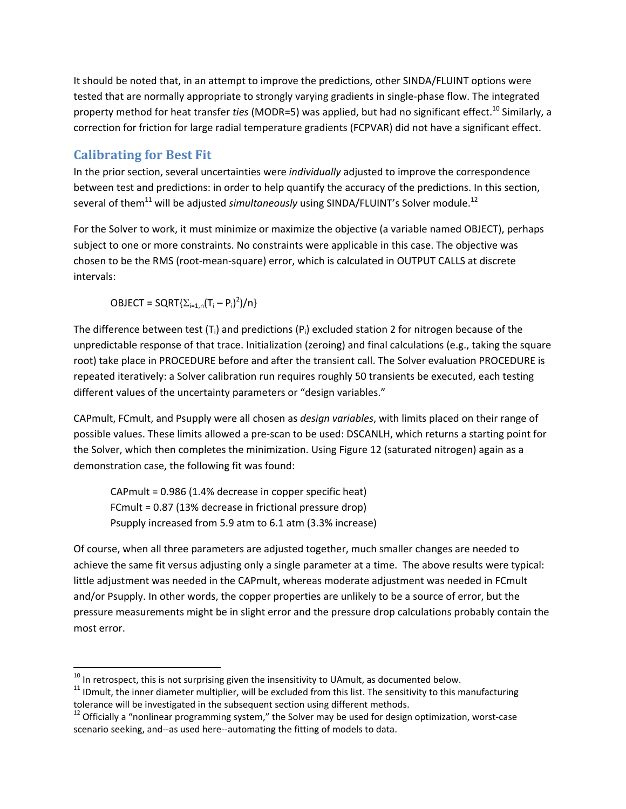It should be noted that, in an attempt to improve the predictions, other SINDA/FLUINT options were tested that are normally appropriate to strongly varying gradients in single‐phase flow. The integrated property method for heat transfer *ties* (MODR=5) was applied, but had no significant effect.<sup>10</sup> Similarly, a correction for friction for large radial temperature gradients (FCPVAR) did not have a significant effect.

# **Calibrating for Best Fit**

In the prior section, several uncertainties were *individually* adjusted to improve the correspondence between test and predictions: in order to help quantify the accuracy of the predictions. In this section, several of them<sup>11</sup> will be adjusted *simultaneously* using SINDA/FLUINT's Solver module.<sup>12</sup>

For the Solver to work, it must minimize or maximize the objective (a variable named OBJECT), perhaps subject to one or more constraints. No constraints were applicable in this case. The objective was chosen to be the RMS (root‐mean‐square) error, which is calculated in OUTPUT CALLS at discrete intervals:

 $OBIECT = SQRT\{\sum_{i=1,n}(T_i - P_i)^2\}/n\}$ 

The difference between test  $(T_i)$  and predictions  $(P_i)$  excluded station 2 for nitrogen because of the unpredictable response of that trace. Initialization (zeroing) and final calculations (e.g., taking the square root) take place in PROCEDURE before and after the transient call. The Solver evaluation PROCEDURE is repeated iteratively: a Solver calibration run requires roughly 50 transients be executed, each testing different values of the uncertainty parameters or "design variables."

CAPmult, FCmult, and Psupply were all chosen as *design variables*, with limits placed on their range of possible values. These limits allowed a pre‐scan to be used: DSCANLH, which returns a starting point for the Solver, which then completes the minimization. Using Figure 12 (saturated nitrogen) again as a demonstration case, the following fit was found:

CAPmult = 0.986 (1.4% decrease in copper specific heat) FCmult = 0.87 (13% decrease in frictional pressure drop) Psupply increased from 5.9 atm to 6.1 atm (3.3% increase)

Of course, when all three parameters are adjusted together, much smaller changes are needed to achieve the same fit versus adjusting only a single parameter at a time. The above results were typical: little adjustment was needed in the CAPmult, whereas moderate adjustment was needed in FCmult and/or Psupply. In other words, the copper properties are unlikely to be a source of error, but the pressure measurements might be in slight error and the pressure drop calculations probably contain the most error.

<sup>&</sup>lt;sup>10</sup> In retrospect, this is not surprising given the insensitivity to UAmult, as documented below.<br><sup>11</sup> IDmult, the inner diameter multiplier, will be excluded from this list. The sensitivity to this manufacturing tolerance will be investigated in the subsequent section using different methods.<br><sup>12</sup> Officially a "nonlinear programming system," the Solver may be used for design optimization, worst-case

scenario seeking, and--as used here--automating the fitting of models to data.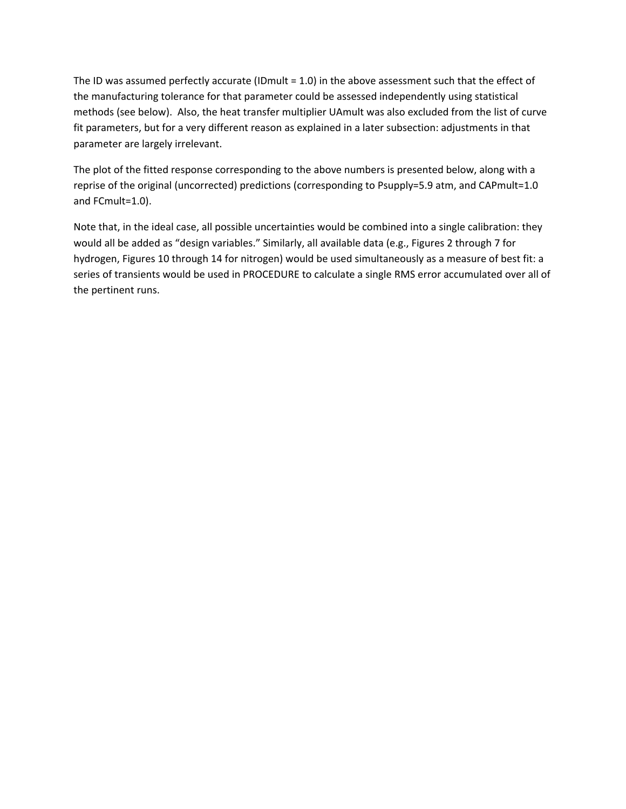The ID was assumed perfectly accurate (IDmult = 1.0) in the above assessment such that the effect of the manufacturing tolerance for that parameter could be assessed independently using statistical methods (see below). Also, the heat transfer multiplier UAmult was also excluded from the list of curve fit parameters, but for a very different reason as explained in a later subsection: adjustments in that parameter are largely irrelevant.

The plot of the fitted response corresponding to the above numbers is presented below, along with a reprise of the original (uncorrected) predictions (corresponding to Psupply=5.9 atm, and CAPmult=1.0 and FCmult=1.0).

Note that, in the ideal case, all possible uncertainties would be combined into a single calibration: they would all be added as "design variables." Similarly, all available data (e.g., Figures 2 through 7 for hydrogen, Figures 10 through 14 for nitrogen) would be used simultaneously as a measure of best fit: a series of transients would be used in PROCEDURE to calculate a single RMS error accumulated over all of the pertinent runs.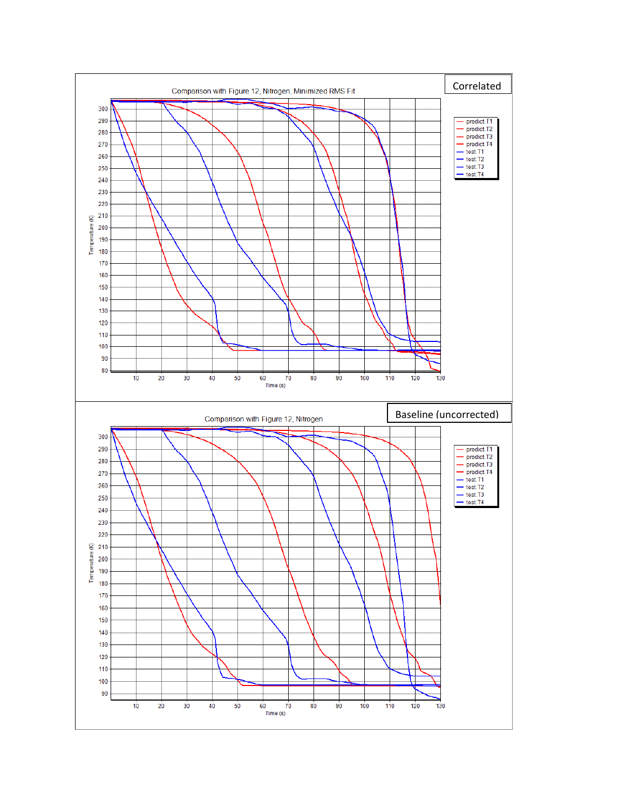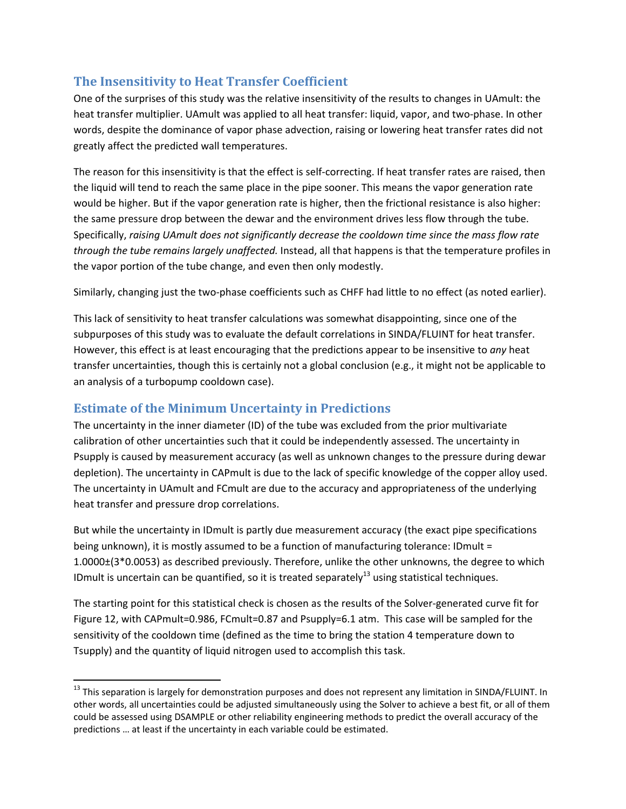# **The Insensitivity to Heat Transfer Coefficient**

One of the surprises of this study was the relative insensitivity of the results to changes in UAmult: the heat transfer multiplier. UAmult was applied to all heat transfer: liquid, vapor, and two-phase. In other words, despite the dominance of vapor phase advection, raising or lowering heat transfer rates did not greatly affect the predicted wall temperatures.

The reason for this insensitivity is that the effect is self‐correcting. If heat transfer rates are raised, then the liquid will tend to reach the same place in the pipe sooner. This means the vapor generation rate would be higher. But if the vapor generation rate is higher, then the frictional resistance is also higher: the same pressure drop between the dewar and the environment drives less flow through the tube. Specifically, *raising UAmult does not significantly decrease the cooldown time since the mass flow rate through the tube remains largely unaffected.* Instead, all that happens is that the temperature profiles in the vapor portion of the tube change, and even then only modestly.

Similarly, changing just the two‐phase coefficients such as CHFF had little to no effect (as noted earlier).

This lack of sensitivity to heat transfer calculations was somewhat disappointing, since one of the subpurposes of this study was to evaluate the default correlations in SINDA/FLUINT for heat transfer. However, this effect is at least encouraging that the predictions appear to be insensitive to *any* heat transfer uncertainties, though this is certainly not a global conclusion (e.g., it might not be applicable to an analysis of a turbopump cooldown case).

## **Estimate of the Minimum Uncertainty in Predictions**

The uncertainty in the inner diameter (ID) of the tube was excluded from the prior multivariate calibration of other uncertainties such that it could be independently assessed. The uncertainty in Psupply is caused by measurement accuracy (as well as unknown changes to the pressure during dewar depletion). The uncertainty in CAPmult is due to the lack of specific knowledge of the copper alloy used. The uncertainty in UAmult and FCmult are due to the accuracy and appropriateness of the underlying heat transfer and pressure drop correlations.

But while the uncertainty in IDmult is partly due measurement accuracy (the exact pipe specifications being unknown), it is mostly assumed to be a function of manufacturing tolerance: IDmult = 1.0000±(3\*0.0053) as described previously. Therefore, unlike the other unknowns, the degree to which ID mult is uncertain can be quantified, so it is treated separately<sup>13</sup> using statistical techniques.

The starting point for this statistical check is chosen as the results of the Solver‐generated curve fit for Figure 12, with CAPmult=0.986, FCmult=0.87 and Psupply=6.1 atm. This case will be sampled for the sensitivity of the cooldown time (defined as the time to bring the station 4 temperature down to Tsupply) and the quantity of liquid nitrogen used to accomplish this task.

<sup>&</sup>lt;sup>13</sup> This separation is largely for demonstration purposes and does not represent any limitation in SINDA/FLUINT. In other words, all uncertainties could be adjusted simultaneously using the Solver to achieve a best fit, or all of them could be assessed using DSAMPLE or other reliability engineering methods to predict the overall accuracy of the predictions … at least if the uncertainty in each variable could be estimated.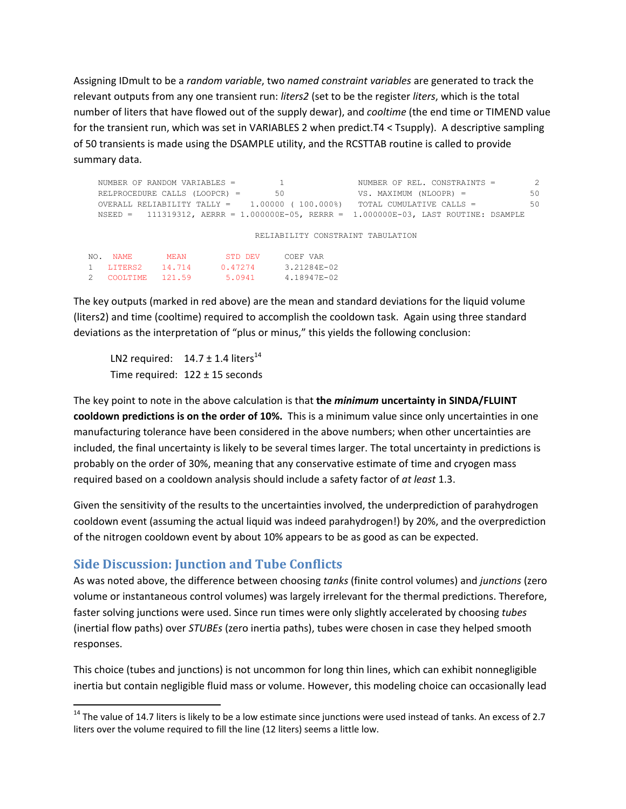Assigning IDmult to be a *random variable*, two *named constraint variables* are generated to track the relevant outputs from any one transient run: *liters2* (set to be the register *liters*, which is the total number of liters that have flowed out of the supply dewar), and *cooltime* (the end time or TIMEND value for the transient run, which was set in VARIABLES 2 when predict.T4 < Tsupply). A descriptive sampling of 50 transients is made using the DSAMPLE utility, and the RCSTTAB routine is called to provide summary data.

|     | NUMBER OF RANDOM VARIABLES =      |             |         |    | NUMBER OF REL. CONSTRAINTS =                                                                  |  |  |  |
|-----|-----------------------------------|-------------|---------|----|-----------------------------------------------------------------------------------------------|--|--|--|
|     | RELPROCEDURE CALLS $(LOOPCR) =$   |             |         | 50 | 50<br>VS. MAXIMUM (NLOOPR) =                                                                  |  |  |  |
|     |                                   |             |         |    | 50<br>OVERALL RELIABILITY TALLY = $1.00000$ ( 100.000%) TOTAL CUMULATIVE CALLS =              |  |  |  |
|     |                                   |             |         |    | NSEED = $111319312$ , AERRR = $1.000000E-05$ , RERRR = $1.000000E-03$ , LAST ROUTINE: DSAMPLE |  |  |  |
|     |                                   |             |         |    |                                                                                               |  |  |  |
|     | RELIABILITY CONSTRAINT TABULATION |             |         |    |                                                                                               |  |  |  |
|     |                                   |             |         |    |                                                                                               |  |  |  |
| NO. | NAME.                             | <b>MEAN</b> | STD DEV |    | COEF VAR                                                                                      |  |  |  |
|     | LITERS2                           | 14.714      | 0.47274 |    | 3.21284E-02                                                                                   |  |  |  |
|     | COOLTIME                          | 121.59      | 5.0941  |    | 4.18947E-02                                                                                   |  |  |  |

The key outputs (marked in red above) are the mean and standard deviations for the liquid volume (liters2) and time (cooltime) required to accomplish the cooldown task. Again using three standard deviations as the interpretation of "plus or minus," this yields the following conclusion:

LN2 required:  $14.7 \pm 1.4$  liters<sup>14</sup> Time required:  $122 \pm 15$  seconds

The key point to note in the above calculation is that **the** *minimum* **uncertainty in SINDA/FLUINT cooldown predictions is on the order of 10%.** This is a minimum value since only uncertainties in one manufacturing tolerance have been considered in the above numbers; when other uncertainties are included, the final uncertainty is likely to be several times larger. The total uncertainty in predictions is probably on the order of 30%, meaning that any conservative estimate of time and cryogen mass required based on a cooldown analysis should include a safety factor of *at least* 1.3.

Given the sensitivity of the results to the uncertainties involved, the underprediction of parahydrogen cooldown event (assuming the actual liquid was indeed parahydrogen!) by 20%, and the overprediction of the nitrogen cooldown event by about 10% appears to be as good as can be expected.

## **Side Discussion: Junction and Tube Conflicts**

As was noted above, the difference between choosing *tanks* (finite control volumes) and *junctions* (zero volume or instantaneous control volumes) was largely irrelevant for the thermal predictions. Therefore, faster solving junctions were used. Since run times were only slightly accelerated by choosing *tubes* (inertial flow paths) over *STUBEs* (zero inertia paths), tubes were chosen in case they helped smooth responses.

This choice (tubes and junctions) is not uncommon for long thin lines, which can exhibit nonnegligible inertia but contain negligible fluid mass or volume. However, this modeling choice can occasionally lead

 $14$  The value of 14.7 liters is likely to be a low estimate since junctions were used instead of tanks. An excess of 2.7 liters over the volume required to fill the line (12 liters) seems a little low.